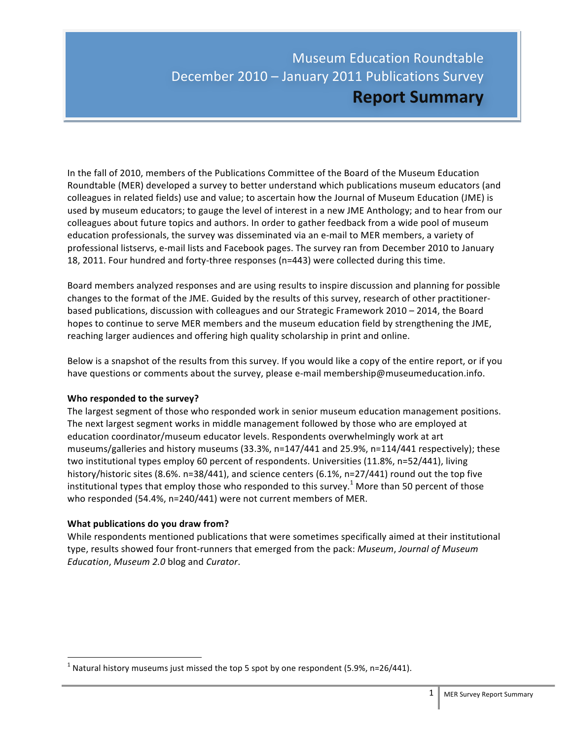# Museum Education Roundtable December 2010 – January 2011 Publications Survey **Report Summary**

In the fall of 2010, members of the Publications Committee of the Board of the Museum Education Roundtable (MER) developed a survey to better understand which publications museum educators (and colleagues in related fields) use and value; to ascertain how the Journal of Museum Education (JME) is used by museum educators; to gauge the level of interest in a new JME Anthology; and to hear from our colleagues about future topics and authors. In order to gather feedback from a wide pool of museum education professionals, the survey was disseminated via an e‐mail to MER members, a variety of professional listservs, e-mail lists and Facebook pages. The survey ran from December 2010 to January 18, 2011. Four hundred and forty-three responses (n=443) were collected during this time.

Board members analyzed responses and are using results to inspire discussion and planning for possible changes to the format of the JME. Guided by the results of this survey, research of other practitioner‐ based publications, discussion with colleagues and our Strategic Framework 2010 – 2014, the Board hopes to continue to serve MER members and the museum education field by strengthening the JME, reaching larger audiences and offering high quality scholarship in print and online.

Below is a snapshot of the results from this survey. If you would like a copy of the entire report, or if you have questions or comments about the survey, please e-mail membership@museumeducation.info.

#### **Who responded to the survey?**

The largest segment of those who responded work in senior museum education management positions. The next largest segment works in middle management followed by those who are employed at education coordinator/museum educator levels. Respondents overwhelmingly work at art museums/galleries and history museums (33.3%, n=147/441 and 25.9%, n=114/441 respectively); these two institutional types employ 60 percent of respondents. Universities (11.8%, n=52/441), living history/historic sites (8.6%. n=38/441), and science centers (6.1%, n=27/441) round out the top five institutional types that employ those who responded to this survey.<sup>1</sup> More than 50 percent of those who responded (54.4%, n=240/441) were not current members of MER.

#### **What publications do you draw from?**

While respondents mentioned publications that were sometimes specifically aimed at their institutional type, results showed four front‐runners that emerged from the pack: *Museum*, *Journal of Museum Education*, *Museum 2.0* blog and *Curator*.

<sup>1</sup> Natural history museums just missed the top 5 spot by one respondent (5.9%, n=26/441).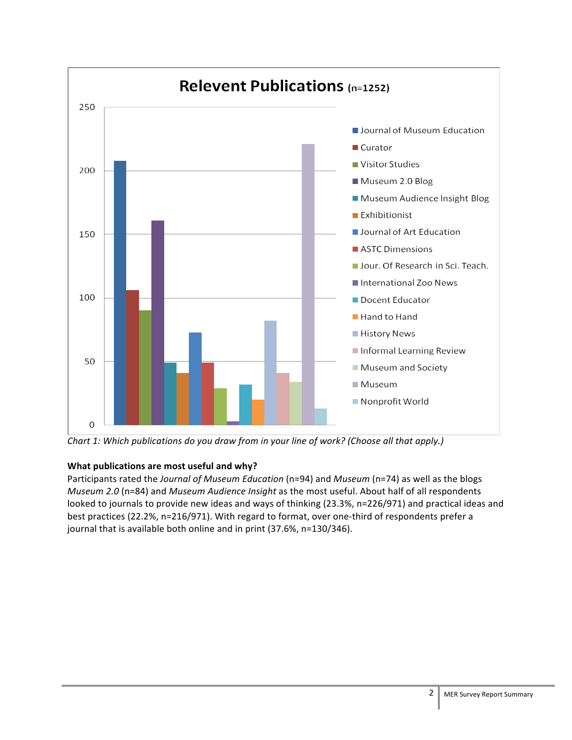

*Chart 1: Which publications do you draw from in your line of work? (Choose all that apply.)*

## **What publications are most useful and why?**

Participants rated the *Journal of Museum Education* (n=94) and *Museum* (n=74) as well as the blogs *Museum 2.0* (n=84) and *Museum Audience Insight* as the most useful. About half of all respondents looked to journals to provide new ideas and ways of thinking (23.3%, n=226/971) and practical ideas and best practices (22.2%, n=216/971). With regard to format, over one-third of respondents prefer a journal that is available both online and in print (37.6%, n=130/346).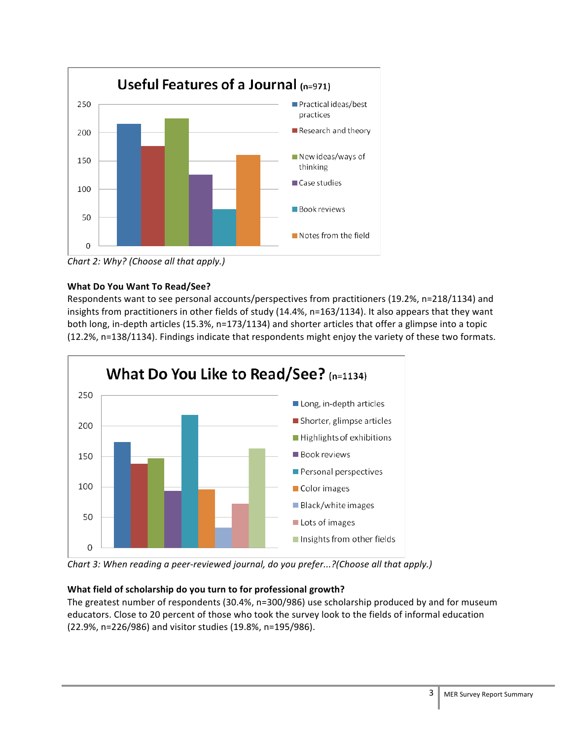

*Chart 2: Why? (Choose all that apply.)*

## **What Do You Want To Read/See?**

Respondents want to see personal accounts/perspectives from practitioners (19.2%, n=218/1134) and insights from practitioners in other fields of study (14.4%, n=163/1134). It also appears that they want both long, in‐depth articles (15.3%, n=173/1134) and shorter articles that offer a glimpse into a topic (12.2%, n=138/1134). Findings indicate that respondents might enjoy the variety of these two formats.



*Chart 3: When reading a peer‐reviewed journal, do you prefer...?(Choose all that apply.)*

#### **What field of scholarship do you turn to for professional growth?**

The greatest number of respondents (30.4%, n=300/986) use scholarship produced by and for museum educators. Close to 20 percent of those who took the survey look to the fields of informal education (22.9%, n=226/986) and visitor studies (19.8%, n=195/986).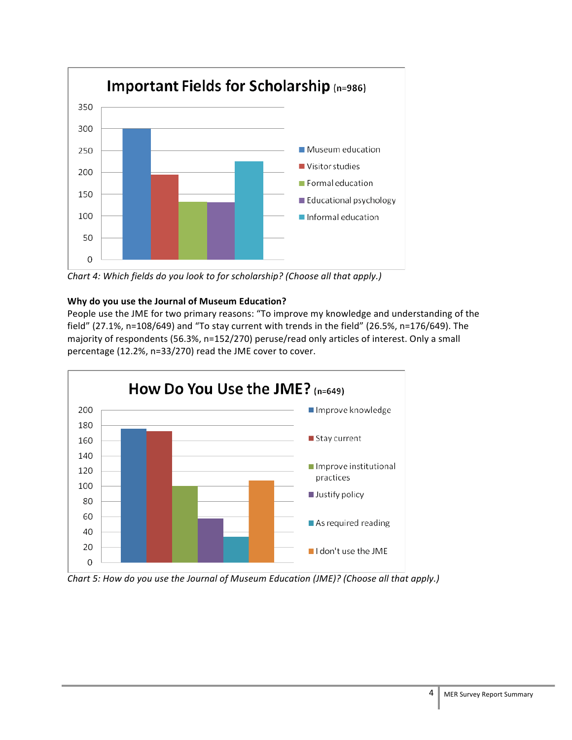

*Chart 4: Which fields do you look to for scholarship? (Choose all that apply.)*

### **Why do you use the Journal of Museum Education?**

People use the JME for two primary reasons: "To improve my knowledge and understanding of the field" (27.1%, n=108/649) and "To stay current with trends in the field" (26.5%, n=176/649). The majority of respondents (56.3%, n=152/270) peruse/read only articles of interest. Only a small percentage (12.2%, n=33/270) read the JME cover to cover.



*Chart 5: How do you use the Journal of Museum Education (JME)? (Choose all that apply.)*